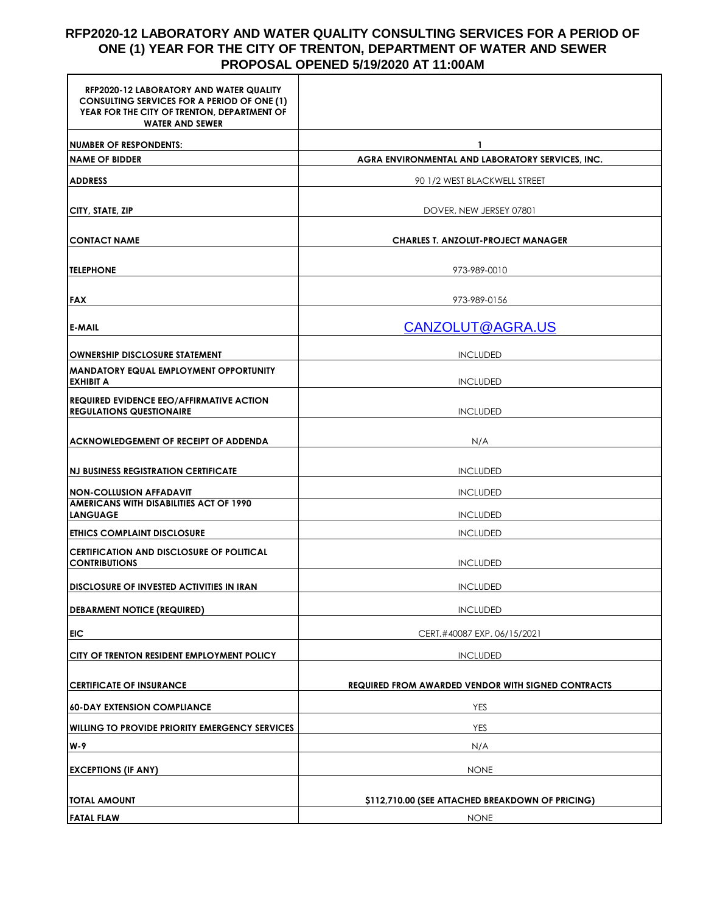## **RFP2020-12 LABORATORY AND WATER QUALITY CONSULTING SERVICES FOR A PERIOD OF ONE (1) YEAR FOR THE CITY OF TRENTON, DEPARTMENT OF WATER AND SEWER PROPOSAL OPENED 5/19/2020 AT 11:00AM**

| <b>RFP2020-12 LABORATORY AND WATER QUALITY</b><br><b>CONSULTING SERVICES FOR A PERIOD OF ONE (1)</b><br>YEAR FOR THE CITY OF TRENTON, DEPARTMENT OF<br><b>WATER AND SEWER</b> |                                                    |
|-------------------------------------------------------------------------------------------------------------------------------------------------------------------------------|----------------------------------------------------|
| <b>NUMBER OF RESPONDENTS:</b>                                                                                                                                                 | 1                                                  |
| <b>NAME OF BIDDER</b>                                                                                                                                                         | AGRA ENVIRONMENTAL AND LABORATORY SERVICES, INC.   |
| <b>ADDRESS</b>                                                                                                                                                                | 90 1/2 WEST BLACKWELL STREET                       |
| CITY, STATE, ZIP                                                                                                                                                              | DOVER, NEW JERSEY 07801                            |
| <b>CONTACT NAME</b>                                                                                                                                                           | <b>CHARLES T. ANZOLUT-PROJECT MANAGER</b>          |
| <b>TELEPHONE</b>                                                                                                                                                              | 973-989-0010                                       |
| <b>FAX</b>                                                                                                                                                                    | 973-989-0156                                       |
| <b>E-MAIL</b>                                                                                                                                                                 | CANZOLUT@AGRA.US                                   |
| OWNERSHIP DISCLOSURE STATEMENT                                                                                                                                                | <b>INCLUDED</b>                                    |
| <b>MANDATORY EQUAL EMPLOYMENT OPPORTUNITY</b><br><b>EXHIBIT A</b>                                                                                                             | <b>INCLUDED</b>                                    |
| <b>REQUIRED EVIDENCE EEO/AFFIRMATIVE ACTION</b><br><b>REGULATIONS QUESTIONAIRE</b>                                                                                            | <b>INCLUDED</b>                                    |
| <b> ACKNOWLEDGEMENT OF RECEIPT OF ADDENDA</b>                                                                                                                                 | N/A                                                |
| <b>NJ BUSINESS REGISTRATION CERTIFICATE</b>                                                                                                                                   | <b>INCLUDED</b>                                    |
| <b>NON-COLLUSION AFFADAVIT</b>                                                                                                                                                | <b>INCLUDED</b>                                    |
| <b>AMERICANS WITH DISABILITIES ACT OF 1990</b><br><b>LANGUAGE</b>                                                                                                             | <b>INCLUDED</b>                                    |
| <b>ETHICS COMPLAINT DISCLOSURE</b>                                                                                                                                            | <b>INCLUDED</b>                                    |
| CERTIFICATION AND DISCLOSURE OF POLITICAL<br><b>CONTRIBUTIONS</b>                                                                                                             | <b>INCLUDED</b>                                    |
| <b>IDISCLOSURE OF INVESTED ACTIVITIES IN IRAN</b>                                                                                                                             | <b>INCLUDED</b>                                    |
| <b>DEBARMENT NOTICE (REQUIRED)</b>                                                                                                                                            | <b>INCLUDED</b>                                    |
| EIC                                                                                                                                                                           | CERT.#40087 EXP. 06/15/2021                        |
| <b>CITY OF TRENTON RESIDENT EMPLOYMENT POLICY</b>                                                                                                                             | <b>INCLUDED</b>                                    |
| <b>CERTIFICATE OF INSURANCE</b>                                                                                                                                               | REQUIRED FROM AWARDED VENDOR WITH SIGNED CONTRACTS |
| <b>60-DAY EXTENSION COMPLIANCE</b>                                                                                                                                            | YES                                                |
| <b>WILLING TO PROVIDE PRIORITY EMERGENCY SERVICES</b>                                                                                                                         | YES                                                |
| W-9                                                                                                                                                                           | N/A                                                |
|                                                                                                                                                                               |                                                    |
| <b>EXCEPTIONS (IF ANY)</b>                                                                                                                                                    | <b>NONE</b>                                        |
| <b>TOTAL AMOUNT</b>                                                                                                                                                           | \$112,710.00 (SEE ATTACHED BREAKDOWN OF PRICING)   |
| <b>FATAL FLAW</b>                                                                                                                                                             | <b>NONE</b>                                        |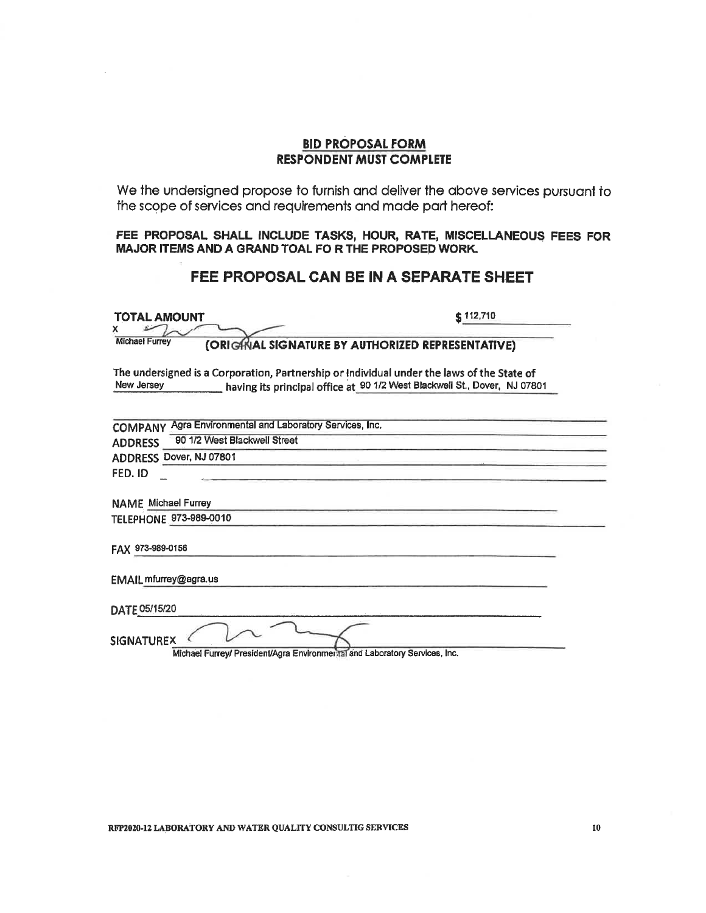#### **BID PROPOSAL FORM RESPONDENT MUST COMPLETE**

We the undersigned propose to furnish and deliver the above services pursuant to the scope of services and requirements and made part hereof:

FEE PROPOSAL SHALL INCLUDE TASKS, HOUR, RATE, MISCELLANEOUS FEES FOR MAJOR ITEMS AND A GRAND TOAL FOR THE PROPOSED WORK.

# FEE PROPOSAL CAN BE IN A SEPARATE SHEET

| TOTAL AMOUNT<br>x.                                                                                       | $\frac{1}{2}$ 112,710                                                     |
|----------------------------------------------------------------------------------------------------------|---------------------------------------------------------------------------|
| <b>Michael Furrey</b><br>(ORIGINAL SIGNATURE BY AUTHORIZED REPRESENTATIVE)                               |                                                                           |
| The undersigned is a Corporation, Partnership or Individual under the laws of the State of<br>New Jersey | having its principal office at 90 1/2 West Blackwell St., Dover, NJ 07801 |
| Agra Environmental and Laboratory Services, Inc.<br><b>COMPANY</b>                                       |                                                                           |
| 90 1/2 West Blackwell Street<br><b>ADDRESS</b>                                                           |                                                                           |
| ADDRESS Dover, NJ 07801                                                                                  |                                                                           |
| FED. ID                                                                                                  |                                                                           |
| <b>NAME</b> Michael Furrey                                                                               |                                                                           |
| TELEPHONE 973-989-0010                                                                                   |                                                                           |
| FAX 973-989-0156                                                                                         |                                                                           |
| EMAIL mfurrey@agra.us                                                                                    |                                                                           |
| DATE 05/15/20                                                                                            |                                                                           |
| <b>SIGNATUREX</b><br>Michael Furrey/ President/Agra Environmental and Laboratory Services, Inc.          |                                                                           |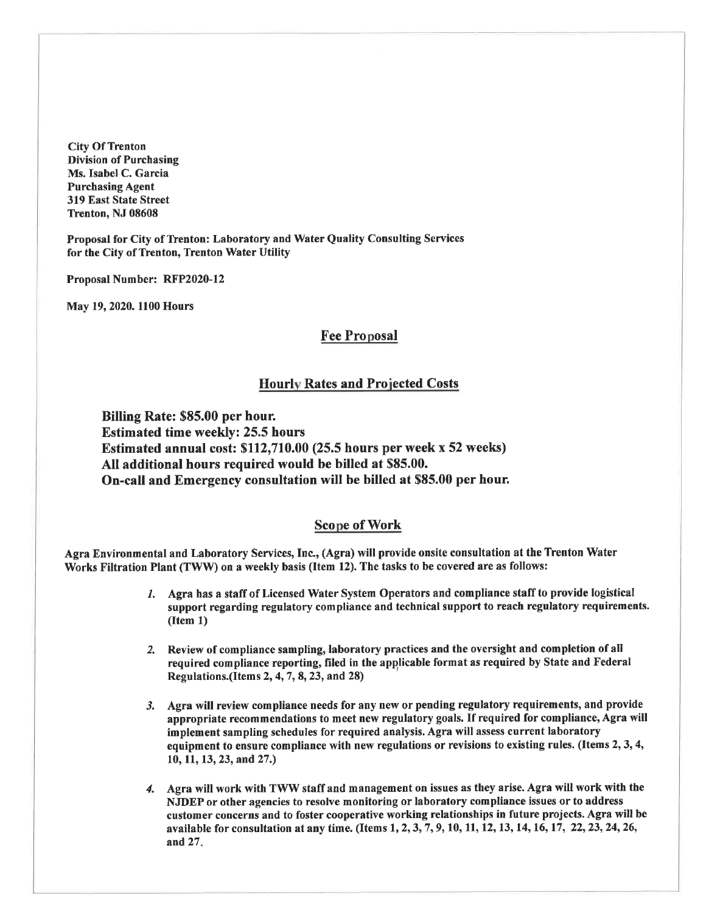**City Of Trenton Division of Purchasing** Ms. Isabel C. Garcia **Purchasing Agent** 319 East State Street Trenton, NJ 08608

Proposal for City of Trenton: Laboratory and Water Quality Consulting Services for the City of Trenton, Trenton Water Utility

Proposal Number: RFP2020-12

May 19, 2020. 1100 Hours

### **Fee Proposal**

#### **Hourly Rates and Projected Costs**

Billing Rate: \$85.00 per hour. **Estimated time weekly: 25.5 hours** Estimated annual cost: \$112,710.00 (25.5 hours per week x 52 weeks) All additional hours required would be billed at \$85.00. On-call and Emergency consultation will be billed at \$85.00 per hour.

#### **Scope of Work**

Agra Environmental and Laboratory Services, Inc., (Agra) will provide onsite consultation at the Trenton Water Works Filtration Plant (TWW) on a weekly basis (Item 12). The tasks to be covered are as follows:

- 1. Agra has a staff of Licensed Water System Operators and compliance staff to provide logistical support regarding regulatory compliance and technical support to reach regulatory requirements.  $(Item 1)$
- 2. Review of compliance sampling, laboratory practices and the oversight and completion of all required compliance reporting, filed in the applicable format as required by State and Federal Regulations.(Items 2, 4, 7, 8, 23, and 28)
- 3. Agra will review compliance needs for any new or pending regulatory requirements, and provide appropriate recommendations to meet new regulatory goals. If required for compliance, Agra will implement sampling schedules for required analysis. Agra will assess current laboratory equipment to ensure compliance with new regulations or revisions to existing rules. (Items 2, 3, 4, 10, 11, 13, 23, and 27.)
- 4. Agra will work with TWW staff and management on issues as they arise. Agra will work with the NJDEP or other agencies to resolve monitoring or laboratory compliance issues or to address customer concerns and to foster cooperative working relationships in future projects. Agra will be available for consultation at any time. (Items 1, 2, 3, 7, 9, 10, 11, 12, 13, 14, 16, 17, 22, 23, 24, 26, and 27.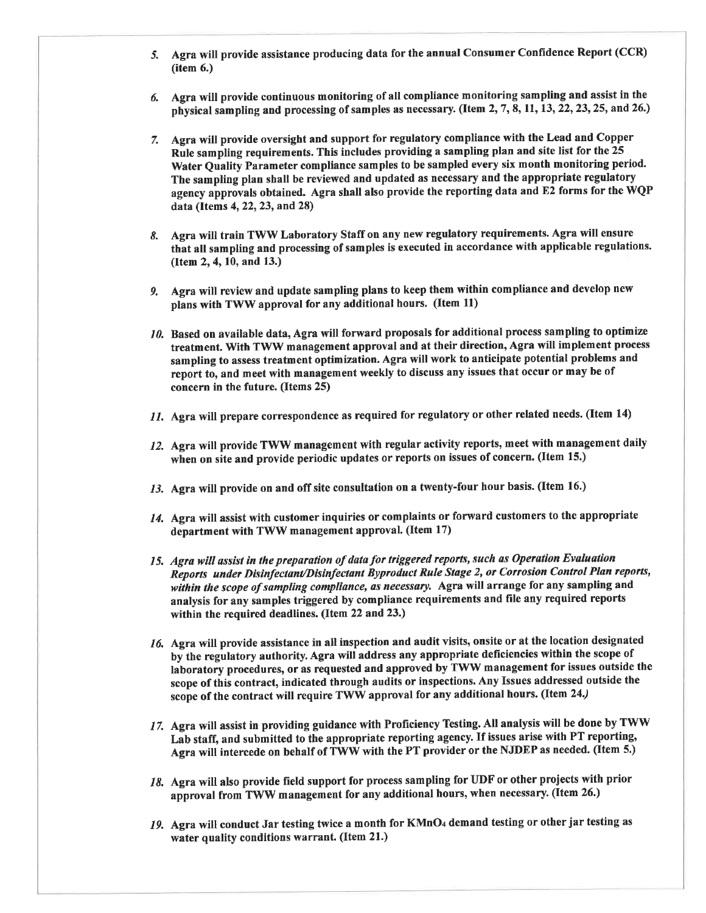- 5. Agra will provide assistance producing data for the annual Consumer Confidence Report (CCR)  $(item 6.)$
- 6. Agra will provide continuous monitoring of all compliance monitoring sampling and assist in the physical sampling and processing of samples as necessary. (Item 2, 7, 8, 11, 13, 22, 23, 25, and 26.)
- 7. Agra will provide oversight and support for regulatory compliance with the Lead and Copper Rule sampling requirements. This includes providing a sampling plan and site list for the 25 Water Quality Parameter compliance samples to be sampled every six month monitoring period. The sampling plan shall be reviewed and updated as necessary and the appropriate regulatory agency approvals obtained. Agra shall also provide the reporting data and E2 forms for the WQP data (Items 4, 22, 23, and 28)
- 8. Agra will train TWW Laboratory Staff on any new regulatory requirements. Agra will ensure that all sampling and processing of samples is executed in accordance with applicable regulations. (Item 2, 4, 10, and 13.)
- 9. Agra will review and update sampling plans to keep them within compliance and develop new plans with TWW approval for any additional hours. (Item 11)
- 10. Based on available data, Agra will forward proposals for additional process sampling to optimize treatment. With TWW management approval and at their direction, Agra will implement process sampling to assess treatment optimization. Agra will work to anticipate potential problems and report to, and meet with management weekly to discuss any issues that occur or may be of concern in the future. (Items 25)
- 11. Agra will prepare correspondence as required for regulatory or other related needs. (Item 14)
- 12. Agra will provide TWW management with regular activity reports, meet with management daily when on site and provide periodic updates or reports on issues of concern. (Item 15.)
- 13. Agra will provide on and off site consultation on a twenty-four hour basis. (Item 16.)
- 14. Agra will assist with customer inquiries or complaints or forward customers to the appropriate department with TWW management approval. (Item 17)
- 15. Agra will assist in the preparation of data for triggered reports, such as Operation Evaluation Reports under Disinfectant/Disinfectant Byproduct Rule Stage 2, or Corrosion Control Plan reports, within the scope of sampling compliance, as necessary. Agra will arrange for any sampling and analysis for any samples triggered by compliance requirements and file any required reports within the required deadlines. (Item 22 and 23.)
- 16. Agra will provide assistance in all inspection and audit visits, onsite or at the location designated by the regulatory authority. Agra will address any appropriate deficiencies within the scope of laboratory procedures, or as requested and approved by TWW management for issues outside the scope of this contract, indicated through audits or inspections. Any Issues addressed outside the scope of the contract will require TWW approval for any additional hours. (Item 24.)
- 17. Agra will assist in providing guidance with Proficiency Testing. All analysis will be done by TWW Lab staff, and submitted to the appropriate reporting agency. If issues arise with PT reporting, Agra will intercede on behalf of TWW with the PT provider or the NJDEP as needed. (Item 5.)
- 18. Agra will also provide field support for process sampling for UDF or other projects with prior approval from TWW management for any additional hours, when necessary. (Item 26.)
- 19. Agra will conduct Jar testing twice a month for KMnO4 demand testing or other jar testing as water quality conditions warrant. (Item 21.)